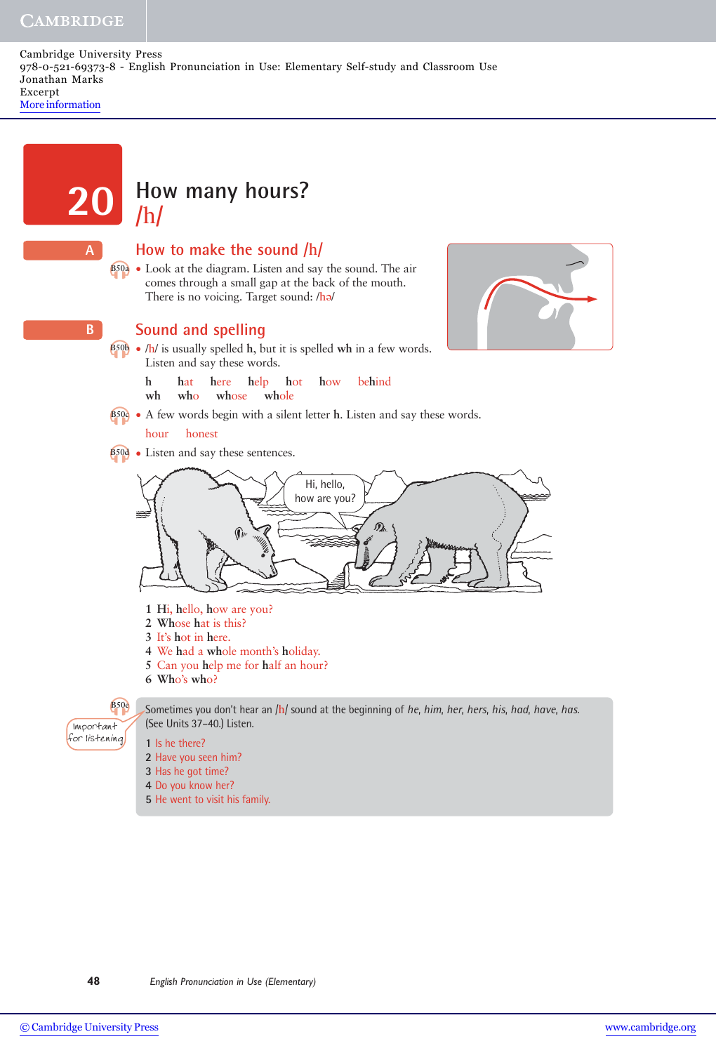### **CAMBRIDGE**

Cambridge University Press 978-0-521-69373-8 - English Pronunciation in Use: Elementary Self-study and Classroom Use Jonathan Marks Excerpt [More information](http://www.cambridge.org/052169373X)

# **How many hours?**<br>/h/

### **How to make the sound /**h**/**

• Look at the diagram. Listen and say the sound. The air **B50a** comes through a small gap at the back of the mouth. There is no voicing. Target sound: /ho/



**A**

**B**

### **Sound and spelling**

- /h/ is usually spelled **h**, but it is spelled **wh** in a few words. **B50b** Listen and say these words.
	- **h h**at **h**ere **h**elp **h**ot **h**ow be**h**ind
	- wh who whose whole
- **e**<sub>500</sub> A few words begin with a silent letter **h**. Listen and say these words.

### hour honest

• Listen and say these sentences. **B50d**



- **1 H**i, **h**ello, **h**ow are you?
- **2 Wh**ose **h**at is this?
- **3** It's **h**ot in **h**ere.
- **4** We **h**ad a **wh**ole month's **h**oliday.
- **5** Can you **h**elp me for **h**alf an hour?
- **6 Wh**o's **wh**o?

Important for listening

**B50e** Sometimes you don't hear an /h/ sound at the beginning of *he*, *him*, *her*, *hers*, *his*, *had*, *have*, *has*. (See Units 37–40.) Listen.

- **1** Is he there?
- **2** Have you seen him?
- **3** Has he got time?
- **4** Do you know her?
- **5** He went to visit his family.